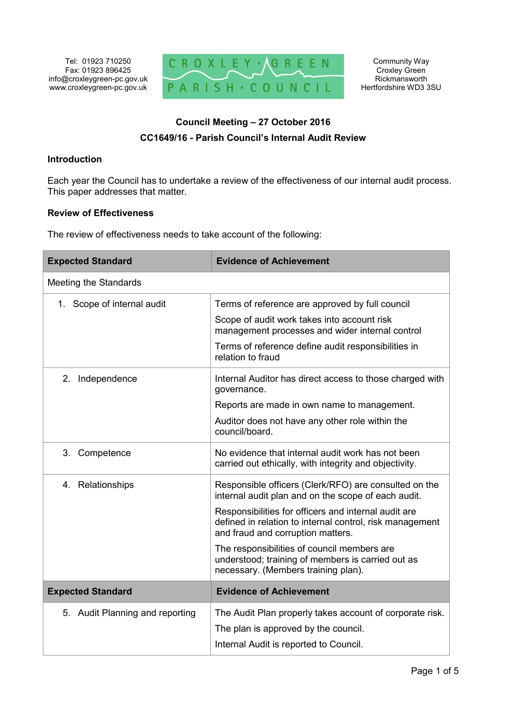

# **Council Meeting – 27 October 2016 CC1649/16 - Parish Council's Internal Audit Review**

# **Introduction**

Each year the Council has to undertake a review of the effectiveness of our internal audit process. This paper addresses that matter.

# **Review of Effectiveness**

The review of effectiveness needs to take account of the following:

| <b>Expected Standard</b>        | <b>Evidence of Achievement</b>                                                                                                                        |
|---------------------------------|-------------------------------------------------------------------------------------------------------------------------------------------------------|
| <b>Meeting the Standards</b>    |                                                                                                                                                       |
| 1. Scope of internal audit      | Terms of reference are approved by full council                                                                                                       |
|                                 | Scope of audit work takes into account risk<br>management processes and wider internal control                                                        |
|                                 | Terms of reference define audit responsibilities in<br>relation to fraud                                                                              |
| 2. Independence                 | Internal Auditor has direct access to those charged with<br>governance.                                                                               |
|                                 | Reports are made in own name to management.                                                                                                           |
|                                 | Auditor does not have any other role within the<br>council/board.                                                                                     |
| 3. Competence                   | No evidence that internal audit work has not been<br>carried out ethically, with integrity and objectivity.                                           |
| 4. Relationships                | Responsible officers (Clerk/RFO) are consulted on the<br>internal audit plan and on the scope of each audit.                                          |
|                                 | Responsibilities for officers and internal audit are<br>defined in relation to internal control, risk management<br>and fraud and corruption matters. |
|                                 | The responsibilities of council members are<br>understood; training of members is carried out as<br>necessary. (Members training plan).               |
| <b>Expected Standard</b>        | <b>Evidence of Achievement</b>                                                                                                                        |
| 5. Audit Planning and reporting | The Audit Plan properly takes account of corporate risk.                                                                                              |
|                                 | The plan is approved by the council.                                                                                                                  |
|                                 | Internal Audit is reported to Council.                                                                                                                |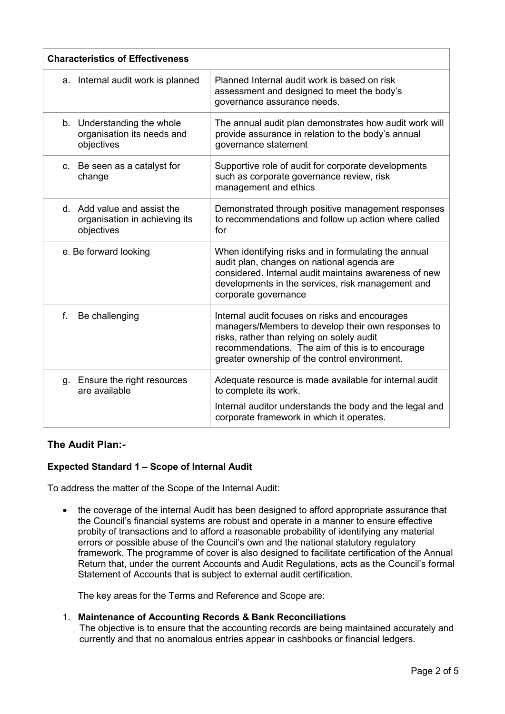| <b>Characteristics of Effectiveness</b>                                    |                                                                                                                                                                                                                                                         |
|----------------------------------------------------------------------------|---------------------------------------------------------------------------------------------------------------------------------------------------------------------------------------------------------------------------------------------------------|
| a. Internal audit work is planned                                          | Planned Internal audit work is based on risk<br>assessment and designed to meet the body's<br>governance assurance needs.                                                                                                                               |
| b. Understanding the whole<br>organisation its needs and<br>objectives     | The annual audit plan demonstrates how audit work will<br>provide assurance in relation to the body's annual<br>governance statement                                                                                                                    |
| c. Be seen as a catalyst for<br>change                                     | Supportive role of audit for corporate developments<br>such as corporate governance review, risk<br>management and ethics                                                                                                                               |
| d. Add value and assist the<br>organisation in achieving its<br>objectives | Demonstrated through positive management responses<br>to recommendations and follow up action where called<br>for                                                                                                                                       |
| e. Be forward looking                                                      | When identifying risks and in formulating the annual<br>audit plan, changes on national agenda are<br>considered. Internal audit maintains awareness of new<br>developments in the services, risk management and<br>corporate governance                |
| f.<br>Be challenging                                                       | Internal audit focuses on risks and encourages<br>managers/Members to develop their own responses to<br>risks, rather than relying on solely audit<br>recommendations. The aim of this is to encourage<br>greater ownership of the control environment. |
| Ensure the right resources<br>g.<br>are available                          | Adequate resource is made available for internal audit<br>to complete its work.                                                                                                                                                                         |
|                                                                            | Internal auditor understands the body and the legal and<br>corporate framework in which it operates.                                                                                                                                                    |

# **The Audit Plan:-**

# **Expected Standard 1 – Scope of Internal Audit**

To address the matter of the Scope of the Internal Audit:

• the coverage of the internal Audit has been designed to afford appropriate assurance that the Council's financial systems are robust and operate in a manner to ensure effective probity of transactions and to afford a reasonable probability of identifying any material errors or possible abuse of the Council's own and the national statutory regulatory framework. The programme of cover is also designed to facilitate certification of the Annual Return that, under the current Accounts and Audit Regulations, acts as the Council's formal Statement of Accounts that is subject to external audit certification.

The key areas for the Terms and Reference and Scope are:

# 1. **Maintenance of Accounting Records & Bank Reconciliations**

The objective is to ensure that the accounting records are being maintained accurately and currently and that no anomalous entries appear in cashbooks or financial ledgers.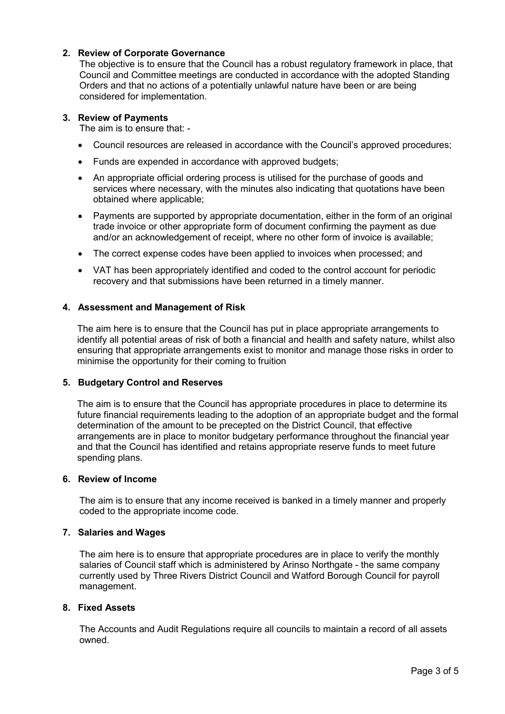# **2. Review of Corporate Governance**

The objective is to ensure that the Council has a robust regulatory framework in place, that Council and Committee meetings are conducted in accordance with the adopted Standing Orders and that no actions of a potentially unlawful nature have been or are being considered for implementation.

#### **3. Review of Payments**

The aim is to ensure that: -

- Council resources are released in accordance with the Council's approved procedures;
- Funds are expended in accordance with approved budgets;
- An appropriate official ordering process is utilised for the purchase of goods and services where necessary, with the minutes also indicating that quotations have been obtained where applicable;
- Payments are supported by appropriate documentation, either in the form of an original trade invoice or other appropriate form of document confirming the payment as due and/or an acknowledgement of receipt, where no other form of invoice is available;
- The correct expense codes have been applied to invoices when processed; and
- VAT has been appropriately identified and coded to the control account for periodic recovery and that submissions have been returned in a timely manner.

#### **4. Assessment and Management of Risk**

The aim here is to ensure that the Council has put in place appropriate arrangements to identify all potential areas of risk of both a financial and health and safety nature, whilst also ensuring that appropriate arrangements exist to monitor and manage those risks in order to minimise the opportunity for their coming to fruition

#### **5. Budgetary Control and Reserves**

The aim is to ensure that the Council has appropriate procedures in place to determine its future financial requirements leading to the adoption of an appropriate budget and the formal determination of the amount to be precepted on the District Council, that effective arrangements are in place to monitor budgetary performance throughout the financial year and that the Council has identified and retains appropriate reserve funds to meet future spending plans.

#### **6. Review of Income**

The aim is to ensure that any income received is banked in a timely manner and properly coded to the appropriate income code.

#### **7. Salaries and Wages**

The aim here is to ensure that appropriate procedures are in place to verify the monthly salaries of Council staff which is administered by Arinso Northgate - the same company currently used by Three Rivers District Council and Watford Borough Council for payroll management.

#### **8. Fixed Assets**

The Accounts and Audit Regulations require all councils to maintain a record of all assets owned.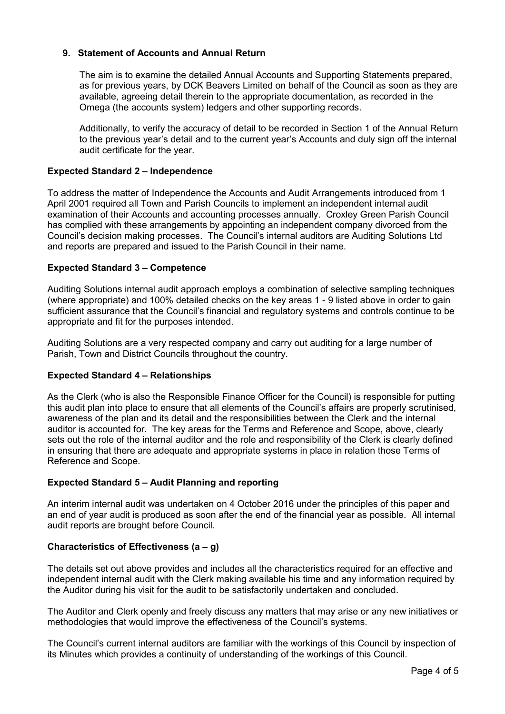# **9. Statement of Accounts and Annual Return**

The aim is to examine the detailed Annual Accounts and Supporting Statements prepared, as for previous years, by DCK Beavers Limited on behalf of the Council as soon as they are available, agreeing detail therein to the appropriate documentation, as recorded in the Omega (the accounts system) ledgers and other supporting records.

Additionally, to verify the accuracy of detail to be recorded in Section 1 of the Annual Return to the previous year's detail and to the current year's Accounts and duly sign off the internal audit certificate for the year.

# **Expected Standard 2 – Independence**

To address the matter of Independence the Accounts and Audit Arrangements introduced from 1 April 2001 required all Town and Parish Councils to implement an independent internal audit examination of their Accounts and accounting processes annually. Croxley Green Parish Council has complied with these arrangements by appointing an independent company divorced from the Council's decision making processes. The Council's internal auditors are Auditing Solutions Ltd and reports are prepared and issued to the Parish Council in their name.

# **Expected Standard 3 – Competence**

Auditing Solutions internal audit approach employs a combination of selective sampling techniques (where appropriate) and 100% detailed checks on the key areas 1 - 9 listed above in order to gain sufficient assurance that the Council's financial and regulatory systems and controls continue to be appropriate and fit for the purposes intended.

Auditing Solutions are a very respected company and carry out auditing for a large number of Parish, Town and District Councils throughout the country.

# **Expected Standard 4 – Relationships**

As the Clerk (who is also the Responsible Finance Officer for the Council) is responsible for putting this audit plan into place to ensure that all elements of the Council's affairs are properly scrutinised, awareness of the plan and its detail and the responsibilities between the Clerk and the internal auditor is accounted for. The key areas for the Terms and Reference and Scope, above, clearly sets out the role of the internal auditor and the role and responsibility of the Clerk is clearly defined in ensuring that there are adequate and appropriate systems in place in relation those Terms of Reference and Scope.

# **Expected Standard 5 – Audit Planning and reporting**

An interim internal audit was undertaken on 4 October 2016 under the principles of this paper and an end of year audit is produced as soon after the end of the financial year as possible. All internal audit reports are brought before Council.

# **Characteristics of Effectiveness (a – g)**

The details set out above provides and includes all the characteristics required for an effective and independent internal audit with the Clerk making available his time and any information required by the Auditor during his visit for the audit to be satisfactorily undertaken and concluded.

The Auditor and Clerk openly and freely discuss any matters that may arise or any new initiatives or methodologies that would improve the effectiveness of the Council's systems.

The Council's current internal auditors are familiar with the workings of this Council by inspection of its Minutes which provides a continuity of understanding of the workings of this Council.